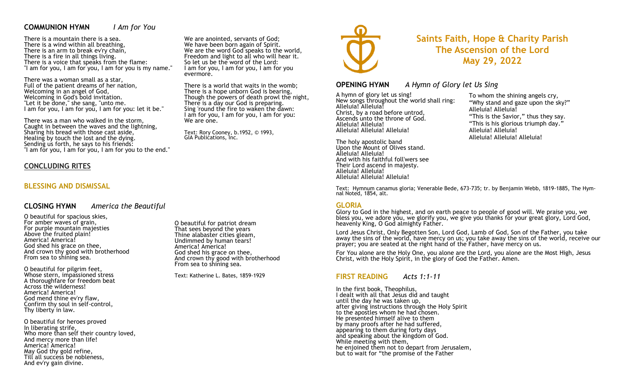## **COMMUNION HYMN** *I Am for You*

There is a mountain there is a sea. There is a wind within all breathing, There is an arm to break ev'ry chain, There is a fire in all things living. There is a voice that speaks from the flame: "I am for you, I am for you, I am for you is my name."

There was a woman small as a star, Full of the patient dreams of her nation, Welcoming in an angel of God, Welcoming in God's bold invitation. "Let it be done," she sang, "unto me. I am for you, I am for you, I am for you: let it be."

There was a man who walked in the storm, Caught in between the waves and the lightning, Sharing his bread with those cast aside, Healing by touch the lost and the dying. Sending us forth, he says to his friends: "I am for you, I am for you, I am for you to the end."

### **CONCLUDING RITES**

## **BLESSING AND DISMISSAL**

#### **CLOSING HYMN** *America the Beautiful*

O beautiful for spacious skies, For amber waves of grain, For purple mountain majesties Above the fruited plain! America! America! God shed his grace on thee, And crown thy good with brotherhood From sea to shining sea.

O beautiful for pilgrim feet, Whose stern, impassioned stress A thoroughfare for freedom beat Across the wilderness! America! America! God mend thine ev'ry flaw, Confirm thy soul in self-control, Thy liberty in law.

O beautiful for heroes proved In liberating strife, Who more than self their country loved, And mercy more than life! America! America! May God thy gold refine, Till all success be nobleness, And ev'ry gain divine.

O beautiful for patriot dream That sees beyond the years Thine alabaster cities gleam, Undimmed by human tears! America! America! God shed his grace on thee, And crown thy good with brotherhood From sea to shining sea.

We are anointed, servants of God; We have been born again of Spirit. We are the word God speaks to the world, Freedom and light to all who will hear it. So let us be the word of the Lord: I am for you, I am for you, I am for you

There is a world that waits in the womb; There is a hope unborn God is bearing, Though the powers of death prowl the night,

There is a day our God is preparing. Sing 'round the fire to waken the dawn: I am for you, I am for you, I am for you:

Text: Rory Cooney, b.1952, © 1993,

evermore.

We are one.

GIA Publications, Inc.

Text: Katherine L. Bates, 1859-1929



# **Saints Faith, Hope & Charity Parish The Ascension of the Lord May 29, 2022**

#### **OPENING HYMN** *A Hymn of Glory let Us Sing*

A hymn of glory let us sing! New songs throughout the world shall ring: Alleluia! Alleluia! Christ, by a road before untrod, Ascends unto the throne of God. Alleluia! Alleluia! Alleluia! Alleluia! Alleluia!

The holy apostolic band Upon the Mount of Olives stand. Alleluia! Alleluia! And with his faithful foll'wers see Their Lord ascend in majesty. Alleluia! Alleluia! Alleluia! Alleluia! Alleluia!

To whom the shining angels cry, "Why stand and gaze upon the sky?" Alleluia! Alleluia! "This is the Savior," thus they say. "This is his glorious triumph day." Alleluia! Alleluia! Alleluia! Alleluia! Alleluia!

Text: Hymnum canamus gloria; Venerable Bede, 673-735; tr. by Benjamin Webb, 1819-1885, The Hymnal Noted, 1854, alt.

#### **GLORIA**

Glory to God in the highest, and on earth peace to people of good will. We praise you, we bless you, we adore you, we glorify you, we give you thanks for your great glory, Lord God, heavenly King, O God almighty Father.

Lord Jesus Christ, Only Begotten Son, Lord God, Lamb of God, Son of the Father, you take away the sins of the world, have mercy on us; you take away the sins of the world, receive our prayer; you are seated at the right hand of the Father, have mercy on us.

For You alone are the Holy One, you alone are the Lord, you alone are the Most High, Jesus Christ, with the Holy Spirit, in the glory of God the Father. Amen.

# **FIRST READING** *Acts 1:1-11*

In the first book, Theophilus, I dealt with all that Jesus did and taught until the day he was taken up, after giving instructions through the Holy Spirit to the apostles whom he had chosen. He presented himself alive to them by many proofs after he had suffered, appearing to them during forty days and speaking about the kingdom of God. While meeting with them, he enjoined them not to depart from Jerusalem, but to wait for "the promise of the Father